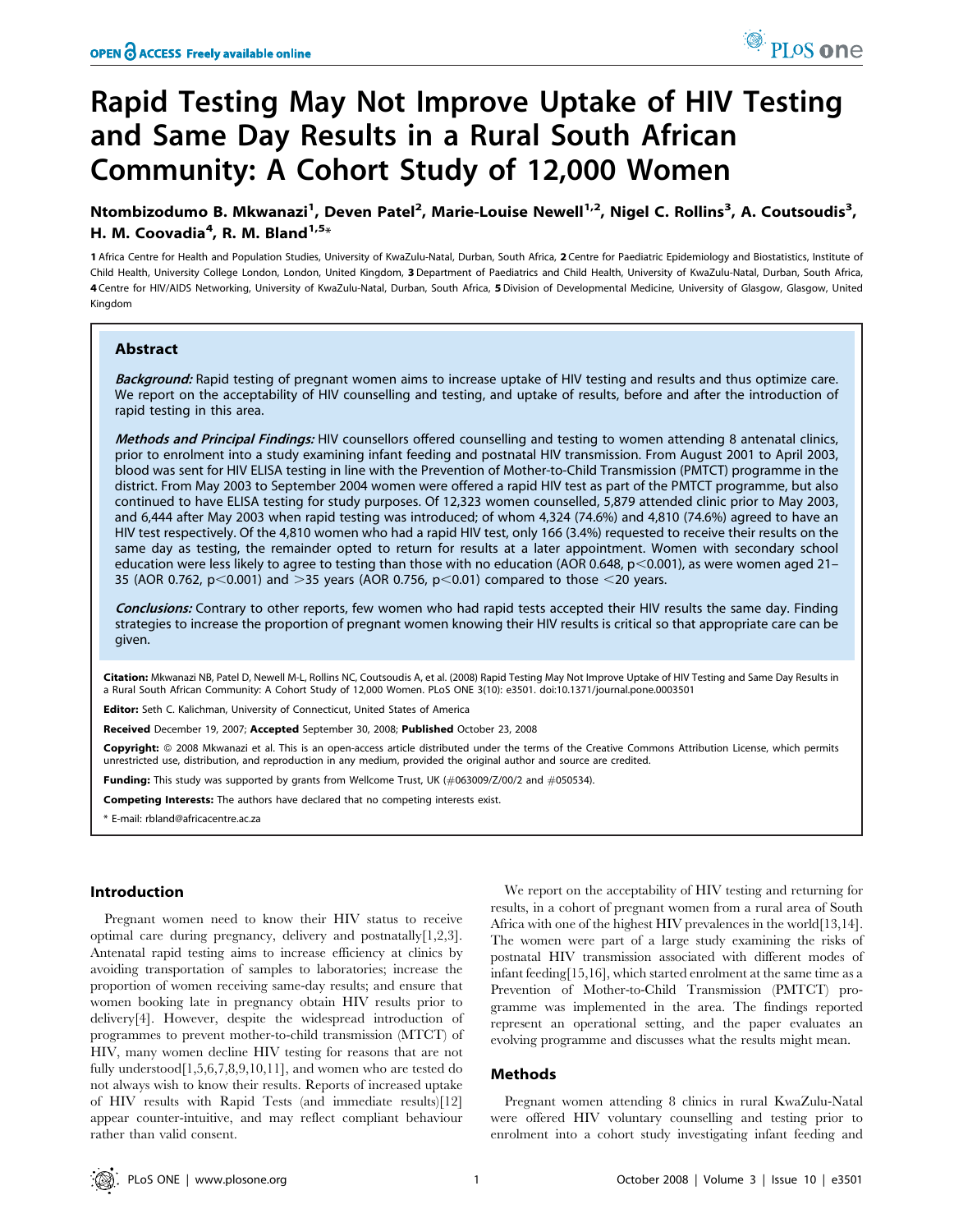# Rapid Testing May Not Improve Uptake of HIV Testing and Same Day Results in a Rural South African Community: A Cohort Study of 12,000 Women

Ntombizodumo B. Mkwanazi<sup>1</sup>, Deven Patel<sup>2</sup>, Marie-Louise Newell<sup>1,2</sup>, Nigel C. Rollins<sup>3</sup>, A. Coutsoudis<sup>3</sup>, H. M. Coovadia<sup>4</sup>, R. M. Bland<sup>1,5</sup>\*

1 Africa Centre for Health and Population Studies, University of KwaZulu-Natal, Durban, South Africa, 2 Centre for Paediatric Epidemiology and Biostatistics, Institute of Child Health, University College London, London, United Kingdom, 3 Department of Paediatrics and Child Health, University of KwaZulu-Natal, Durban, South Africa, 4 Centre for HIV/AIDS Networking, University of KwaZulu-Natal, Durban, South Africa, 5 Division of Developmental Medicine, University of Glasgow, Glasgow, United Kingdom

## Abstract

Background: Rapid testing of pregnant women aims to increase uptake of HIV testing and results and thus optimize care. We report on the acceptability of HIV counselling and testing, and uptake of results, before and after the introduction of rapid testing in this area.

Methods and Principal Findings: HIV counsellors offered counselling and testing to women attending 8 antenatal clinics, prior to enrolment into a study examining infant feeding and postnatal HIV transmission. From August 2001 to April 2003, blood was sent for HIV ELISA testing in line with the Prevention of Mother-to-Child Transmission (PMTCT) programme in the district. From May 2003 to September 2004 women were offered a rapid HIV test as part of the PMTCT programme, but also continued to have ELISA testing for study purposes. Of 12,323 women counselled, 5,879 attended clinic prior to May 2003, and 6,444 after May 2003 when rapid testing was introduced; of whom 4,324 (74.6%) and 4,810 (74.6%) agreed to have an HIV test respectively. Of the 4,810 women who had a rapid HIV test, only 166 (3.4%) requested to receive their results on the same day as testing, the remainder opted to return for results at a later appointment. Women with secondary school education were less likely to agree to testing than those with no education (AOR 0.648,  $p$  < 0.001), as were women aged 21-35 (AOR 0.762, p $<$ 0.001) and  $>$ 35 years (AOR 0.756, p $<$ 0.01) compared to those  $<$ 20 years.

Conclusions: Contrary to other reports, few women who had rapid tests accepted their HIV results the same day. Finding strategies to increase the proportion of pregnant women knowing their HIV results is critical so that appropriate care can be given.

Citation: Mkwanazi NB, Patel D, Newell M-L, Rollins NC, Coutsoudis A, et al. (2008) Rapid Testing May Not Improve Uptake of HIV Testing and Same Day Results in a Rural South African Community: A Cohort Study of 12,000 Women. PLoS ONE 3(10): e3501. doi:10.1371/journal.pone.0003501

Editor: Seth C. Kalichman, University of Connecticut, United States of America

Received December 19, 2007; Accepted September 30, 2008; Published October 23, 2008

Copyright: © 2008 Mkwanazi et al. This is an open-access article distributed under the terms of the Creative Commons Attribution License, which permits unrestricted use, distribution, and reproduction in any medium, provided the original author and source are credited.

Funding: This study was supported by grants from Wellcome Trust, UK (#063009/Z/00/2 and #050534).

Competing Interests: The authors have declared that no competing interests exist.

\* E-mail: rbland@africacentre.ac.za

#### Introduction

Pregnant women need to know their HIV status to receive optimal care during pregnancy, delivery and postnatally[1,2,3]. Antenatal rapid testing aims to increase efficiency at clinics by avoiding transportation of samples to laboratories; increase the proportion of women receiving same-day results; and ensure that women booking late in pregnancy obtain HIV results prior to delivery[4]. However, despite the widespread introduction of programmes to prevent mother-to-child transmission (MTCT) of HIV, many women decline HIV testing for reasons that are not fully understood[1,5,6,7,8,9,10,11], and women who are tested do not always wish to know their results. Reports of increased uptake of HIV results with Rapid Tests (and immediate results)[12] appear counter-intuitive, and may reflect compliant behaviour rather than valid consent.

We report on the acceptability of HIV testing and returning for results, in a cohort of pregnant women from a rural area of South Africa with one of the highest HIV prevalences in the world[13,14]. The women were part of a large study examining the risks of postnatal HIV transmission associated with different modes of infant feeding[15,16], which started enrolment at the same time as a Prevention of Mother-to-Child Transmission (PMTCT) programme was implemented in the area. The findings reported represent an operational setting, and the paper evaluates an evolving programme and discusses what the results might mean.

#### Methods

Pregnant women attending 8 clinics in rural KwaZulu-Natal were offered HIV voluntary counselling and testing prior to enrolment into a cohort study investigating infant feeding and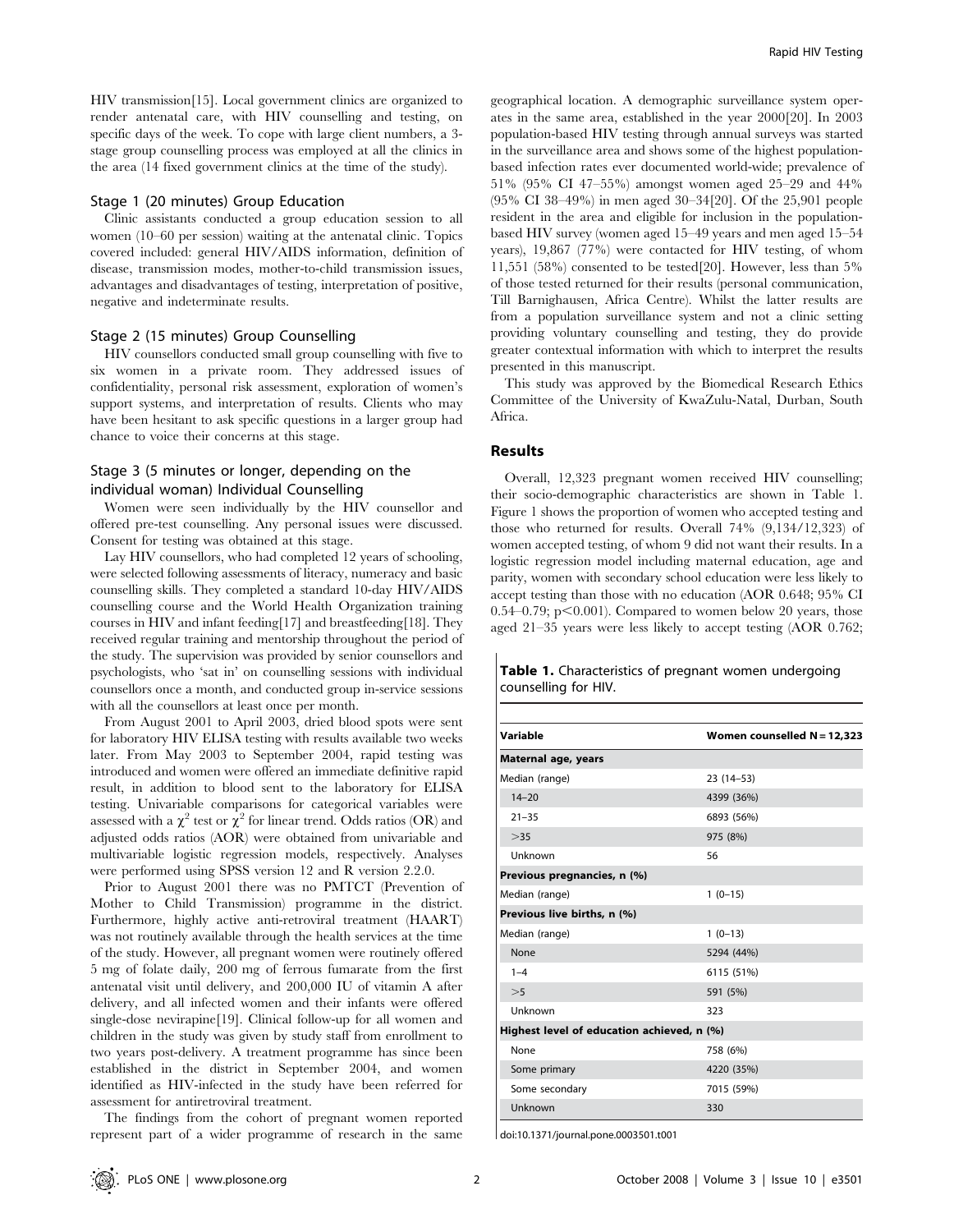HIV transmission[15]. Local government clinics are organized to render antenatal care, with HIV counselling and testing, on specific days of the week. To cope with large client numbers, a 3 stage group counselling process was employed at all the clinics in the area (14 fixed government clinics at the time of the study).

# Stage 1 (20 minutes) Group Education

Clinic assistants conducted a group education session to all women (10–60 per session) waiting at the antenatal clinic. Topics covered included: general HIV/AIDS information, definition of disease, transmission modes, mother-to-child transmission issues, advantages and disadvantages of testing, interpretation of positive, negative and indeterminate results.

#### Stage 2 (15 minutes) Group Counselling

HIV counsellors conducted small group counselling with five to six women in a private room. They addressed issues of confidentiality, personal risk assessment, exploration of women's support systems, and interpretation of results. Clients who may have been hesitant to ask specific questions in a larger group had chance to voice their concerns at this stage.

# Stage 3 (5 minutes or longer, depending on the individual woman) Individual Counselling

Women were seen individually by the HIV counsellor and offered pre-test counselling. Any personal issues were discussed. Consent for testing was obtained at this stage.

Lay HIV counsellors, who had completed 12 years of schooling, were selected following assessments of literacy, numeracy and basic counselling skills. They completed a standard 10-day HIV/AIDS counselling course and the World Health Organization training courses in HIV and infant feeding[17] and breastfeeding[18]. They received regular training and mentorship throughout the period of the study. The supervision was provided by senior counsellors and psychologists, who 'sat in' on counselling sessions with individual counsellors once a month, and conducted group in-service sessions with all the counsellors at least once per month.

From August 2001 to April 2003, dried blood spots were sent for laboratory HIV ELISA testing with results available two weeks later. From May 2003 to September 2004, rapid testing was introduced and women were offered an immediate definitive rapid result, in addition to blood sent to the laboratory for ELISA testing. Univariable comparisons for categorical variables were assessed with a  $\chi^2$  test or  $\chi^2$  for linear trend. Odds ratios (OR) and adjusted odds ratios (AOR) were obtained from univariable and multivariable logistic regression models, respectively. Analyses were performed using SPSS version 12 and R version 2.2.0.

Prior to August 2001 there was no PMTCT (Prevention of Mother to Child Transmission) programme in the district. Furthermore, highly active anti-retroviral treatment (HAART) was not routinely available through the health services at the time of the study. However, all pregnant women were routinely offered 5 mg of folate daily, 200 mg of ferrous fumarate from the first antenatal visit until delivery, and 200,000 IU of vitamin A after delivery, and all infected women and their infants were offered single-dose nevirapine[19]. Clinical follow-up for all women and children in the study was given by study staff from enrollment to two years post-delivery. A treatment programme has since been established in the district in September 2004, and women identified as HIV-infected in the study have been referred for assessment for antiretroviral treatment.

The findings from the cohort of pregnant women reported represent part of a wider programme of research in the same

geographical location. A demographic surveillance system operates in the same area, established in the year 2000[20]. In 2003 population-based HIV testing through annual surveys was started in the surveillance area and shows some of the highest populationbased infection rates ever documented world-wide; prevalence of 51% (95% CI 47–55%) amongst women aged 25–29 and 44% (95% CI 38–49%) in men aged 30–34[20]. Of the 25,901 people resident in the area and eligible for inclusion in the populationbased HIV survey (women aged 15–49 years and men aged 15–54 years), 19,867 (77%) were contacted for HIV testing, of whom 11,551 (58%) consented to be tested[20]. However, less than 5% of those tested returned for their results (personal communication, Till Barnighausen, Africa Centre). Whilst the latter results are from a population surveillance system and not a clinic setting providing voluntary counselling and testing, they do provide greater contextual information with which to interpret the results presented in this manuscript.

This study was approved by the Biomedical Research Ethics Committee of the University of KwaZulu-Natal, Durban, South Africa.

# Results

 $\mathbf{I}$ 

Overall, 12,323 pregnant women received HIV counselling; their socio-demographic characteristics are shown in Table 1. Figure 1 shows the proportion of women who accepted testing and those who returned for results. Overall 74% (9,134/12,323) of women accepted testing, of whom 9 did not want their results. In a logistic regression model including maternal education, age and parity, women with secondary school education were less likely to accept testing than those with no education (AOR 0.648; 95% CI 0.54–0.79;  $p<0.001$ ). Compared to women below 20 years, those aged 21–35 years were less likely to accept testing (AOR 0.762;

| Table 1. Characteristics of pregnant women undergoing |  |
|-------------------------------------------------------|--|
| counselling for HIV.                                  |  |

| Variable                                   |                               |  |  |  |  |
|--------------------------------------------|-------------------------------|--|--|--|--|
|                                            | Women counselled $N = 12,323$ |  |  |  |  |
| Maternal age, years                        |                               |  |  |  |  |
| Median (range)                             | $23(14-53)$                   |  |  |  |  |
| $14 - 20$                                  | 4399 (36%)                    |  |  |  |  |
| $21 - 35$                                  | 6893 (56%)                    |  |  |  |  |
| >35                                        | 975 (8%)                      |  |  |  |  |
| Unknown                                    | 56                            |  |  |  |  |
| Previous pregnancies, n (%)                |                               |  |  |  |  |
| Median (range)                             | $1(0-15)$                     |  |  |  |  |
| Previous live births, n (%)                |                               |  |  |  |  |
| Median (range)                             | $1(0-13)$                     |  |  |  |  |
| None                                       | 5294 (44%)                    |  |  |  |  |
| $1 - 4$                                    | 6115 (51%)                    |  |  |  |  |
| >5                                         | 591 (5%)                      |  |  |  |  |
| Unknown                                    | 323                           |  |  |  |  |
| Highest level of education achieved, n (%) |                               |  |  |  |  |
| None                                       | 758 (6%)                      |  |  |  |  |
| Some primary                               | 4220 (35%)                    |  |  |  |  |
| Some secondary                             | 7015 (59%)                    |  |  |  |  |
| Unknown                                    | 330                           |  |  |  |  |

doi:10.1371/journal.pone.0003501.t001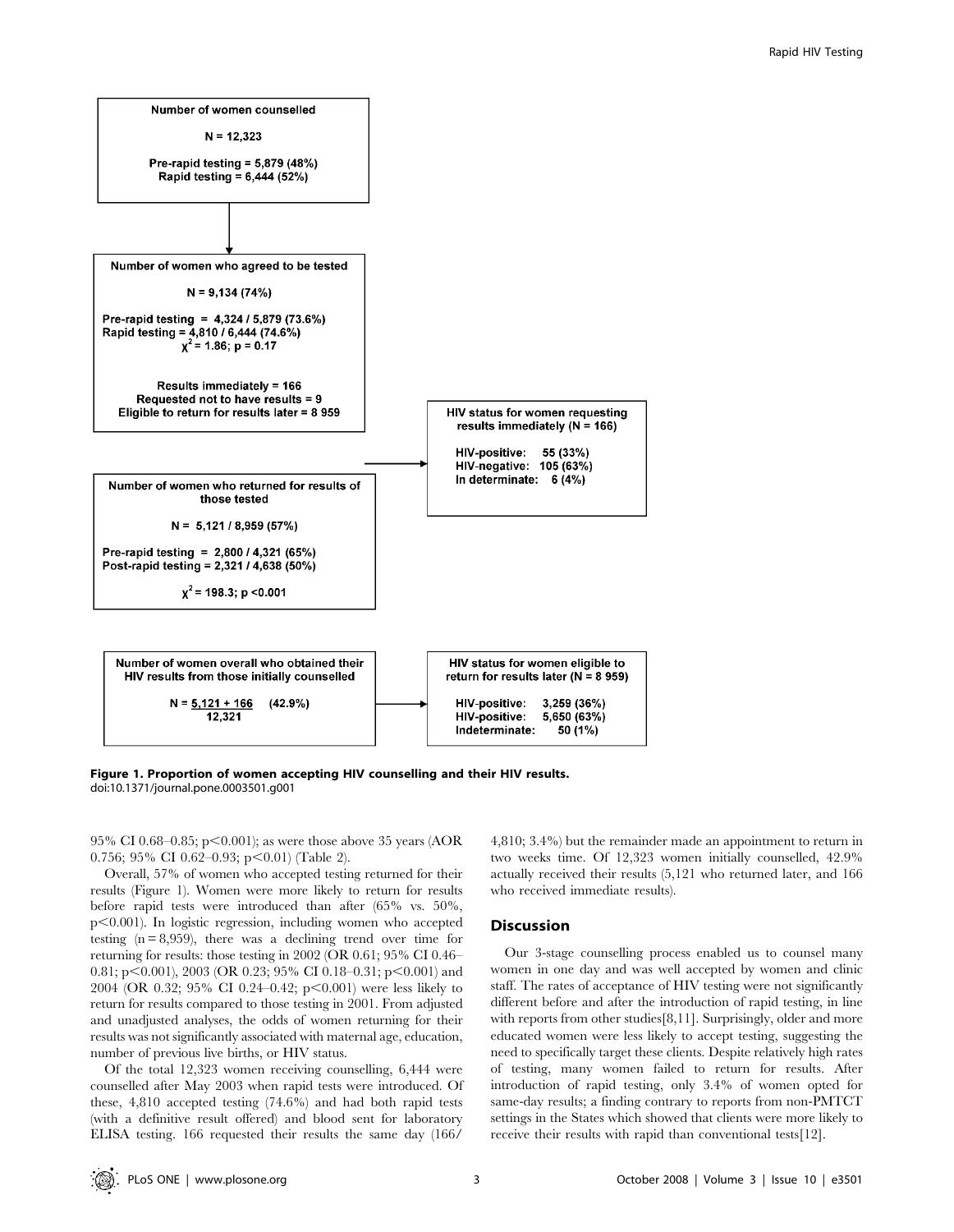

Figure 1. Proportion of women accepting HIV counselling and their HIV results. doi:10.1371/journal.pone.0003501.g001

95% CI 0.68–0.85; p $\leq$ 0.001); as were those above 35 years (AOR 0.756; 95% CI 0.62-0.93; p $\leq$ 0.01) (Table 2).

Overall, 57% of women who accepted testing returned for their results (Figure 1). Women were more likely to return for results before rapid tests were introduced than after (65% vs. 50%,  $p<0.001$ ). In logistic regression, including women who accepted testing  $(n = 8,959)$ , there was a declining trend over time for returning for results: those testing in 2002 (OR 0.61; 95% CI 0.46– 0.81; p $\leq$ 0.001), 2003 (OR 0.23; 95% CI 0.18–0.31; p $\leq$ 0.001) and 2004 (OR 0.32; 95% CI 0.24–0.42;  $p<0.001$ ) were less likely to return for results compared to those testing in 2001. From adjusted and unadjusted analyses, the odds of women returning for their results was not significantly associated with maternal age, education, number of previous live births, or HIV status.

Of the total 12,323 women receiving counselling, 6,444 were counselled after May 2003 when rapid tests were introduced. Of these, 4,810 accepted testing (74.6%) and had both rapid tests (with a definitive result offered) and blood sent for laboratory ELISA testing. 166 requested their results the same day (166/

4,810; 3.4%) but the remainder made an appointment to return in two weeks time. Of 12,323 women initially counselled, 42.9% actually received their results (5,121 who returned later, and 166 who received immediate results).

### Discussion

Our 3-stage counselling process enabled us to counsel many women in one day and was well accepted by women and clinic staff. The rates of acceptance of HIV testing were not significantly different before and after the introduction of rapid testing, in line with reports from other studies<sup>[8,11]</sup>. Surprisingly, older and more educated women were less likely to accept testing, suggesting the need to specifically target these clients. Despite relatively high rates of testing, many women failed to return for results. After introduction of rapid testing, only 3.4% of women opted for same-day results; a finding contrary to reports from non-PMTCT settings in the States which showed that clients were more likely to receive their results with rapid than conventional tests[12].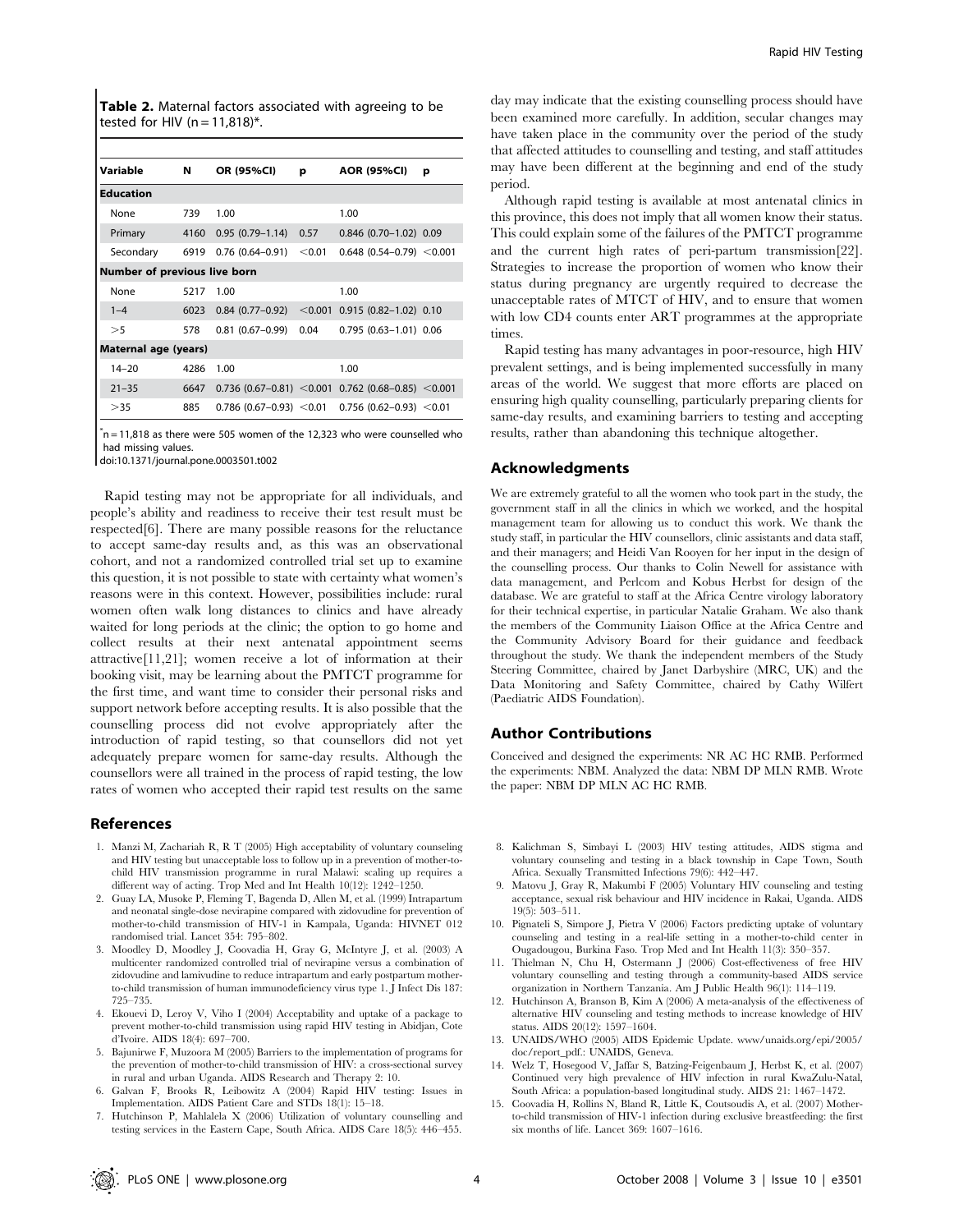Table 2. Maternal factors associated with agreeing to be tested for HIV ( $n = 11,818$ )\*.

| Variable                            | N    | OR (95%CI)                   | р        | AOR (95%CI)                                                     | р |  |  |
|-------------------------------------|------|------------------------------|----------|-----------------------------------------------------------------|---|--|--|
| <b>Education</b>                    |      |                              |          |                                                                 |   |  |  |
| None                                | 739  | 1.00                         |          | 1.00                                                            |   |  |  |
| Primary                             | 4160 | $0.95(0.79 - 1.14)$          | 0.57     | $0.846$ (0.70-1.02) 0.09                                        |   |  |  |
| Secondary                           | 6919 | $0.76(0.64 - 0.91)$          | $<$ 0.01 | $0.648(0.54 - 0.79) < 0.001$                                    |   |  |  |
| <b>Number of previous live born</b> |      |                              |          |                                                                 |   |  |  |
| None                                | 5217 | 1.00                         |          | 1.00                                                            |   |  |  |
| $1 - 4$                             | 6023 | $0.84(0.77-0.92)$            |          | $<$ 0.001 0.915 (0.82-1.02) 0.10                                |   |  |  |
| >5                                  | 578  | $0.81(0.67-0.99)$            | 0.04     | $0.795(0.63 - 1.01)0.06$                                        |   |  |  |
| Maternal age (years)                |      |                              |          |                                                                 |   |  |  |
| $14 - 20$                           | 4286 | 1.00                         |          | 1.00                                                            |   |  |  |
| $21 - 35$                           | 6647 |                              |          | $0.736$ (0.67-0.81) $\leq$ 0.001 0.762 (0.68-0.85) $\leq$ 0.001 |   |  |  |
| >35                                 | 885  | $0.786$ (0.67-0.93) $<$ 0.01 |          | $0.756$ (0.62-0.93) < 0.01                                      |   |  |  |

 $\text{*}$ n = 11,818 as there were 505 women of the 12,323 who were counselled who had missing values.

doi:10.1371/journal.pone.0003501.t002

Rapid testing may not be appropriate for all individuals, and people's ability and readiness to receive their test result must be respected[6]. There are many possible reasons for the reluctance to accept same-day results and, as this was an observational cohort, and not a randomized controlled trial set up to examine this question, it is not possible to state with certainty what women's reasons were in this context. However, possibilities include: rural women often walk long distances to clinics and have already waited for long periods at the clinic; the option to go home and collect results at their next antenatal appointment seems attractive[11,21]; women receive a lot of information at their booking visit, may be learning about the PMTCT programme for the first time, and want time to consider their personal risks and support network before accepting results. It is also possible that the counselling process did not evolve appropriately after the introduction of rapid testing, so that counsellors did not yet adequately prepare women for same-day results. Although the counsellors were all trained in the process of rapid testing, the low rates of women who accepted their rapid test results on the same

#### References

- 1. Manzi M, Zachariah R, R T (2005) High acceptability of voluntary counseling and HIV testing but unacceptable loss to follow up in a prevention of mother-tochild HIV transmission programme in rural Malawi: scaling up requires a different way of acting. Trop Med and Int Health 10(12): 1242–1250.
- 2. Guay LA, Musoke P, Fleming T, Bagenda D, Allen M, et al. (1999) Intrapartum and neonatal single-dose nevirapine compared with zidovudine for prevention of mother-to-child transmission of HIV-1 in Kampala, Uganda: HIVNET 012 randomised trial. Lancet 354: 795–802.
- 3. Moodley D, Moodley J, Coovadia H, Gray G, McIntyre J, et al. (2003) A multicenter randomized controlled trial of nevirapine versus a combination of zidovudine and lamivudine to reduce intrapartum and early postpartum motherto-child transmission of human immunodeficiency virus type 1. J Infect Dis 187: 725–735.
- 4. Ekouevi D, Leroy V, Viho I (2004) Acceptability and uptake of a package to prevent mother-to-child transmission using rapid HIV testing in Abidjan, Cote d'Ivoire. AIDS 18(4): 697–700.
- 5. Bajunirwe F, Muzoora M (2005) Barriers to the implementation of programs for the prevention of mother-to-child transmission of HIV: a cross-sectional survey in rural and urban Uganda. AIDS Research and Therapy 2: 10.
- 6. Galvan F, Brooks R, Leibowitz A (2004) Rapid HIV testing: Issues in Implementation. AIDS Patient Care and STDs 18(1): 15–18.
- 7. Hutchinson P, Mahlalela X (2006) Utilization of voluntary counselling and testing services in the Eastern Cape, South Africa. AIDS Care 18(5): 446–455.

day may indicate that the existing counselling process should have been examined more carefully. In addition, secular changes may have taken place in the community over the period of the study that affected attitudes to counselling and testing, and staff attitudes may have been different at the beginning and end of the study period.

Although rapid testing is available at most antenatal clinics in this province, this does not imply that all women know their status. This could explain some of the failures of the PMTCT programme and the current high rates of peri-partum transmission[22]. Strategies to increase the proportion of women who know their status during pregnancy are urgently required to decrease the unacceptable rates of MTCT of HIV, and to ensure that women with low CD4 counts enter ART programmes at the appropriate times.

Rapid testing has many advantages in poor-resource, high HIV prevalent settings, and is being implemented successfully in many areas of the world. We suggest that more efforts are placed on ensuring high quality counselling, particularly preparing clients for same-day results, and examining barriers to testing and accepting results, rather than abandoning this technique altogether.

# Acknowledgments

We are extremely grateful to all the women who took part in the study, the government staff in all the clinics in which we worked, and the hospital management team for allowing us to conduct this work. We thank the study staff, in particular the HIV counsellors, clinic assistants and data staff, and their managers; and Heidi Van Rooyen for her input in the design of the counselling process. Our thanks to Colin Newell for assistance with data management, and Perlcom and Kobus Herbst for design of the database. We are grateful to staff at the Africa Centre virology laboratory for their technical expertise, in particular Natalie Graham. We also thank the members of the Community Liaison Office at the Africa Centre and the Community Advisory Board for their guidance and feedback throughout the study. We thank the independent members of the Study Steering Committee, chaired by Janet Darbyshire (MRC, UK) and the Data Monitoring and Safety Committee, chaired by Cathy Wilfert (Paediatric AIDS Foundation).

#### Author Contributions

Conceived and designed the experiments: NR AC HC RMB. Performed the experiments: NBM. Analyzed the data: NBM DP MLN RMB. Wrote the paper: NBM DP MLN AC HC RMB.

- 8. Kalichman S, Simbayi L (2003) HIV testing attitudes, AIDS stigma and voluntary counseling and testing in a black township in Cape Town, South Africa. Sexually Transmitted Infections 79(6): 442–447.
- 9. Matovu J, Gray R, Makumbi F (2005) Voluntary HIV counseling and testing acceptance, sexual risk behaviour and HIV incidence in Rakai, Uganda. AIDS 19(5): 503–511.
- 10. Pignateli S, Simpore J, Pietra V (2006) Factors predicting uptake of voluntary counseling and testing in a real-life setting in a mother-to-child center in Ougadougou, Burkina Faso. Trop Med and Int Health 11(3): 350–357.
- 11. Thielman N, Chu H, Ostermann J (2006) Cost-effectiveness of free HIV voluntary counselling and testing through a community-based AIDS service organization in Northern Tanzania. Am J Public Health 96(1): 114–119.
- 12. Hutchinson A, Branson B, Kim A (2006) A meta-analysis of the effectiveness of alternative HIV counseling and testing methods to increase knowledge of HIV status. AIDS 20(12): 1597–1604.
- 13. UNAIDS/WHO (2005) AIDS Epidemic Update. www/unaids.org/epi/2005/ doc/report\_pdf.: UNAIDS, Geneva.
- 14. Welz T, Hosegood V, Jaffar S, Batzing-Feigenbaum J, Herbst K, et al. (2007) Continued very high prevalence of HIV infection in rural KwaZulu-Natal, South Africa: a population-based longitudinal study. AIDS 21: 1467–1472.
- 15. Coovadia H, Rollins N, Bland R, Little K, Coutsoudis A, et al. (2007) Motherto-child transmission of HIV-1 infection during exclusive breastfeeding: the first six months of life. Lancet 369: 1607–1616.